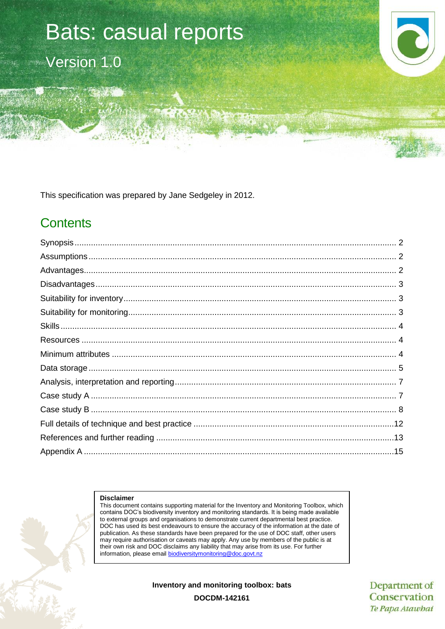# Bats: casual reports Version 1.0

This specification was prepared by Jane Sedgeley in 2012.

# **Contents**

#### **Disclaimer**

This document contains supporting material for the Inventory and Monitoring Toolbox, which contains DOC's biodiversity inventory and monitoring standards. It is being made available to external groups and organisations to demonstrate current departmental best practice. DOC has used its best endeavours to ensure the accuracy of the information at the date of publication. As these standards have been prepared for the use of DOC staff, other users may require authorisation or caveats may apply. Any use by members of the public is at their own risk and DOC disclaims any liability that may arise from its use. For further information, please email [biodiversitymonitoring@doc.govt.nz](mailto:biodiversitymonitoring@doc.govt.nz)

**Inventory and monitoring toolbox: bats**

Department of Conservation Te Papa Atawhai

**DOCDM-142161**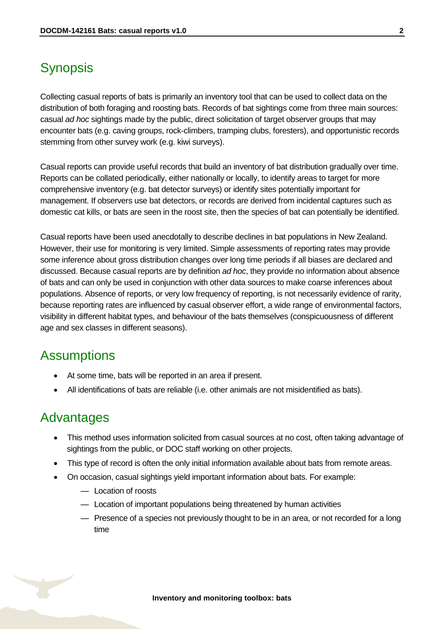# <span id="page-1-0"></span>**Synopsis**

Collecting casual reports of bats is primarily an inventory tool that can be used to collect data on the distribution of both foraging and roosting bats. Records of bat sightings come from three main sources: casual *ad hoc* sightings made by the public, direct solicitation of target observer groups that may encounter bats (e.g. caving groups, rock-climbers, tramping clubs, foresters), and opportunistic records stemming from other survey work (e.g. kiwi surveys).

Casual reports can provide useful records that build an inventory of bat distribution gradually over time. Reports can be collated periodically, either nationally or locally, to identify areas to target for more comprehensive inventory (e.g. bat detector surveys) or identify sites potentially important for management. If observers use bat detectors, or records are derived from incidental captures such as domestic cat kills, or bats are seen in the roost site, then the species of bat can potentially be identified.

Casual reports have been used anecdotally to describe declines in bat populations in New Zealand. However, their use for monitoring is very limited. Simple assessments of reporting rates may provide some inference about gross distribution changes over long time periods if all biases are declared and discussed. Because casual reports are by definition *ad hoc*, they provide no information about absence of bats and can only be used in conjunction with other data sources to make coarse inferences about populations. Absence of reports, or very low frequency of reporting, is not necessarily evidence of rarity, because reporting rates are influenced by casual observer effort, a wide range of environmental factors, visibility in different habitat types, and behaviour of the bats themselves (conspicuousness of different age and sex classes in different seasons).

### <span id="page-1-1"></span>Assumptions

- At some time, bats will be reported in an area if present.
- All identifications of bats are reliable (i.e. other animals are not misidentified as bats).

### <span id="page-1-2"></span>Advantages

- This method uses information solicited from casual sources at no cost, often taking advantage of sightings from the public, or DOC staff working on other projects.
- This type of record is often the only initial information available about bats from remote areas.
- On occasion, casual sightings yield important information about bats. For example:
	- Location of roosts
	- Location of important populations being threatened by human activities
	- Presence of a species not previously thought to be in an area, or not recorded for a long time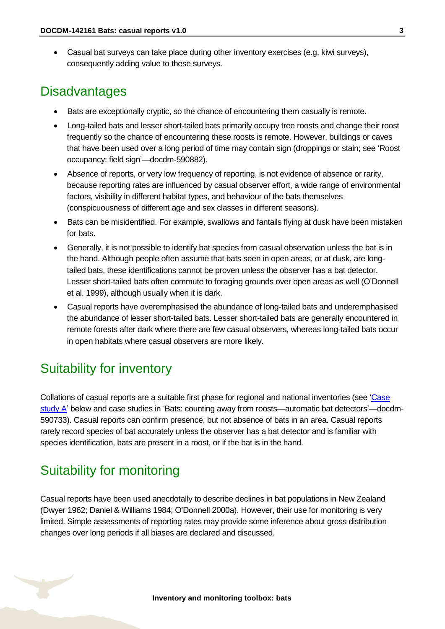Casual bat surveys can take place during other inventory exercises (e.g. kiwi surveys), consequently adding value to these surveys.

### <span id="page-2-0"></span>**Disadvantages**

- Bats are exceptionally cryptic, so the chance of encountering them casually is remote.
- Long-tailed bats and lesser short-tailed bats primarily occupy tree roosts and change their roost frequently so the chance of encountering these roosts is remote. However, buildings or caves that have been used over a long period of time may contain sign (droppings or stain; see 'Roost occupancy: field sign'—docdm-590882).
- Absence of reports, or very low frequency of reporting, is not evidence of absence or rarity, because reporting rates are influenced by casual observer effort, a wide range of environmental factors, visibility in different habitat types, and behaviour of the bats themselves (conspicuousness of different age and sex classes in different seasons).
- Bats can be misidentified. For example, swallows and fantails flying at dusk have been mistaken for bats.
- Generally, it is not possible to identify bat species from casual observation unless the bat is in the hand. Although people often assume that bats seen in open areas, or at dusk, are longtailed bats, these identifications cannot be proven unless the observer has a bat detector. Lesser short-tailed bats often commute to foraging grounds over open areas as well (O'Donnell et al. 1999), although usually when it is dark.
- Casual reports have overemphasised the abundance of long-tailed bats and underemphasised the abundance of lesser short-tailed bats. Lesser short-tailed bats are generally encountered in remote forests after dark where there are few casual observers, whereas long-tailed bats occur in open habitats where casual observers are more likely.

# <span id="page-2-1"></span>Suitability for inventory

Collations of casual reports are a suitable first phase for regional and national inventories (see ['Case](#page-6-1)  [study A'](#page-6-1) below and case studies in 'Bats: counting away from roosts—automatic bat detectors'—docdm-590733). Casual reports can confirm presence, but not absence of bats in an area. Casual reports rarely record species of bat accurately unless the observer has a bat detector and is familiar with species identification, bats are present in a roost, or if the bat is in the hand.

# <span id="page-2-2"></span>Suitability for monitoring

Casual reports have been used anecdotally to describe declines in bat populations in New Zealand (Dwyer 1962; Daniel & Williams 1984; O'Donnell 2000a). However, their use for monitoring is very limited. Simple assessments of reporting rates may provide some inference about gross distribution changes over long periods if all biases are declared and discussed.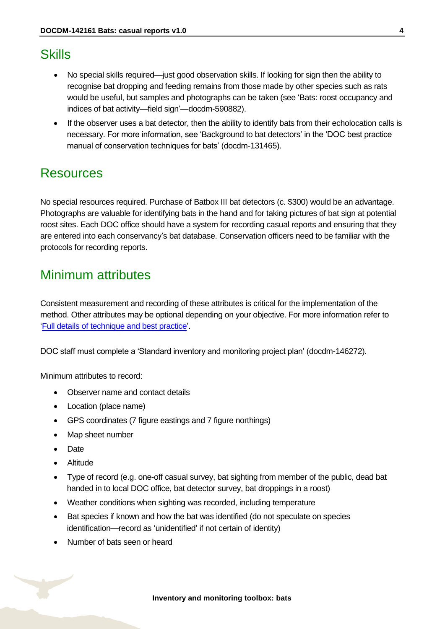### <span id="page-3-0"></span>**Skills**

- No special skills required—just good observation skills. If looking for sign then the ability to recognise bat dropping and feeding remains from those made by other species such as rats would be useful, but samples and photographs can be taken (see 'Bats: roost occupancy and indices of bat activity—field sign'—docdm-590882).
- If the observer uses a bat detector, then the ability to identify bats from their echolocation calls is necessary. For more information, see 'Background to bat detectors' in the 'DOC best practice manual of conservation techniques for bats' (docdm-131465).

## <span id="page-3-1"></span>Resources

No special resources required. Purchase of Batbox III bat detectors (c. \$300) would be an advantage. Photographs are valuable for identifying bats in the hand and for taking pictures of bat sign at potential roost sites. Each DOC office should have a system for recording casual reports and ensuring that they are entered into each conservancy's bat database. Conservation officers need to be familiar with the protocols for recording reports.

# <span id="page-3-2"></span>Minimum attributes

Consistent measurement and recording of these attributes is critical for the implementation of the method. Other attributes may be optional depending on your objective. For more information refer to ['Full details of technique and best practice'](#page-11-0).

DOC staff must complete a 'Standard inventory and monitoring project plan' (docdm-146272).

Minimum attributes to record:

- Observer name and contact details
- Location (place name)
- GPS coordinates (7 figure eastings and 7 figure northings)
- Map sheet number
- Date
- Altitude
- Type of record (e.g. one-off casual survey, bat sighting from member of the public, dead bat handed in to local DOC office, bat detector survey, bat droppings in a roost)
- Weather conditions when sighting was recorded, including temperature
- Bat species if known and how the bat was identified (do not speculate on species identification—record as 'unidentified' if not certain of identity)
- Number of bats seen or heard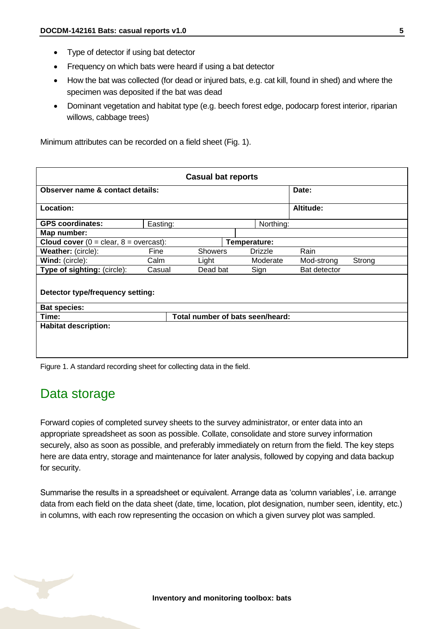- Type of detector if using bat detector
- Frequency on which bats were heard if using a bat detector
- How the bat was collected (for dead or injured bats, e.g. cat kill, found in shed) and where the specimen was deposited if the bat was dead
- Dominant vegetation and habitat type (e.g. beech forest edge, podocarp forest interior, riparian willows, cabbage trees)

Minimum attributes can be recorded on a field sheet (Fig. 1).

| <b>Casual bat reports</b>                                          |          |                |  |                |              |        |  |
|--------------------------------------------------------------------|----------|----------------|--|----------------|--------------|--------|--|
| Observer name & contact details:                                   |          |                |  |                | Date:        |        |  |
| Location:                                                          |          |                |  |                | Altitude:    |        |  |
| <b>GPS coordinates:</b>                                            | Easting: |                |  | Northing:      |              |        |  |
| Map number:                                                        |          |                |  |                |              |        |  |
| <b>Cloud cover</b> ( $0 =$ clear, $8 =$ overcast):<br>Temperature: |          |                |  |                |              |        |  |
| Weather: (circle):                                                 | Fine     | <b>Showers</b> |  | <b>Drizzle</b> | Rain         |        |  |
| Wind: (circle):                                                    | Calm     | Light          |  | Moderate       | Mod-strong   | Strong |  |
| Type of sighting: (circle):                                        | Casual   | Dead bat       |  | Sign           | Bat detector |        |  |
| Detector type/frequency setting:                                   |          |                |  |                |              |        |  |
| <b>Bat species:</b>                                                |          |                |  |                |              |        |  |
| Total number of bats seen/heard:<br>Time:                          |          |                |  |                |              |        |  |
| <b>Habitat description:</b>                                        |          |                |  |                |              |        |  |
|                                                                    |          |                |  |                |              |        |  |

Figure 1. A standard recording sheet for collecting data in the field.

### <span id="page-4-0"></span>Data storage

Forward copies of completed survey sheets to the survey administrator, or enter data into an appropriate spreadsheet as soon as possible. Collate, consolidate and store survey information securely, also as soon as possible, and preferably immediately on return from the field. The key steps here are data entry, storage and maintenance for later analysis, followed by copying and data backup for security.

Summarise the results in a spreadsheet or equivalent. Arrange data as 'column variables', i.e. arrange data from each field on the data sheet (date, time, location, plot designation, number seen, identity, etc.) in columns, with each row representing the occasion on which a given survey plot was sampled.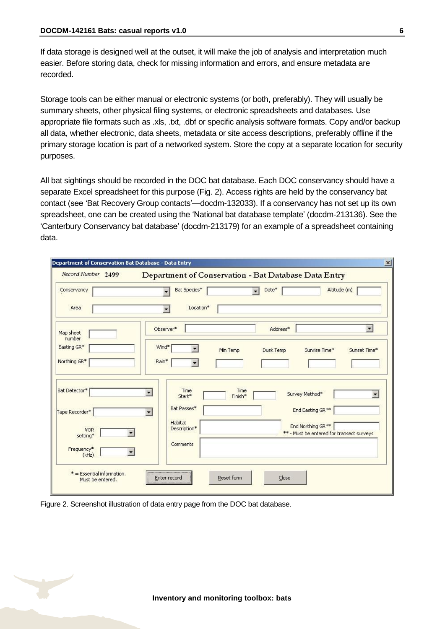If data storage is designed well at the outset, it will make the job of analysis and interpretation much easier. Before storing data, check for missing information and errors, and ensure metadata are recorded.

Storage tools can be either manual or electronic systems (or both, preferably). They will usually be summary sheets, other physical filing systems, or electronic spreadsheets and databases. Use appropriate file formats such as .xls, .txt, .dbf or specific analysis software formats. Copy and/or backup all data, whether electronic, data sheets, metadata or site access descriptions, preferably offline if the primary storage location is part of a networked system. Store the copy at a separate location for security purposes.

All bat sightings should be recorded in the DOC bat database. Each DOC conservancy should have a separate Excel spreadsheet for this purpose (Fig. 2). Access rights are held by the conservancy bat contact (see 'Bat Recovery Group contacts'—docdm-132033). If a conservancy has not set up its own spreadsheet, one can be created using the 'National bat database template' (docdm-213136). See the 'Canterbury Conservancy bat database' (docdm-213179) for an example of a spreadsheet containing data.

| Conservancy            | Bat Species*                            | Date*<br>$\blacksquare$ | Altitude (m)                                                               |
|------------------------|-----------------------------------------|-------------------------|----------------------------------------------------------------------------|
|                        |                                         |                         |                                                                            |
| Area                   | Location*<br>$\overline{\phantom{a}}$   |                         |                                                                            |
| Map sheet<br>number    | Observer*                               | Address*                | $\blacksquare$                                                             |
| Easting GR*            | Wind*                                   | Dusk Temp<br>Min Temp   | Sunrise Time*<br>Sunset Time*                                              |
| Northing GR*           | Rain*                                   |                         |                                                                            |
| Bat Detector*          | Time<br>¥<br>Start*                     | Time<br>Finish*         | Survey Method*<br>$\blacksquare$                                           |
| Tape Recorder*         | Bat Passes*<br>$\overline{\phantom{a}}$ |                         | End Easting GR**                                                           |
| <b>VOR</b><br>setting* | Habitat<br>Description*                 |                         | End Northing GR <sup>**</sup><br>** - Must be entered for transect surveys |
| Frequency*<br>(kHz)    | Comments                                |                         |                                                                            |

Figure 2. Screenshot illustration of data entry page from the DOC bat database.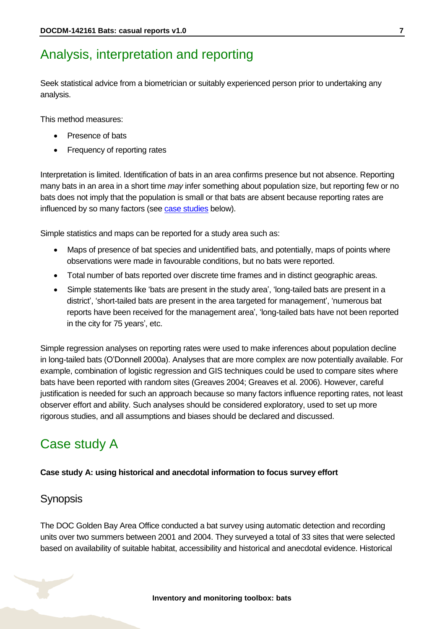## <span id="page-6-0"></span>Analysis, interpretation and reporting

Seek statistical advice from a biometrician or suitably experienced person prior to undertaking any analysis.

This method measures:

- Presence of bats
- Frequency of reporting rates

Interpretation is limited. Identification of bats in an area confirms presence but not absence. Reporting many bats in an area in a short time *may* infer something about population size, but reporting few or no bats does not imply that the population is small or that bats are absent because reporting rates are influenced by so many factors (see [case studies](#page-6-1) below).

Simple statistics and maps can be reported for a study area such as:

- Maps of presence of bat species and unidentified bats, and potentially, maps of points where observations were made in favourable conditions, but no bats were reported.
- Total number of bats reported over discrete time frames and in distinct geographic areas.
- Simple statements like 'bats are present in the study area', 'long-tailed bats are present in a district', 'short-tailed bats are present in the area targeted for management', 'numerous bat reports have been received for the management area', 'long-tailed bats have not been reported in the city for 75 years', etc.

Simple regression analyses on reporting rates were used to make inferences about population decline in long-tailed bats (O'Donnell 2000a). Analyses that are more complex are now potentially available. For example, combination of logistic regression and GIS techniques could be used to compare sites where bats have been reported with random sites (Greaves 2004; Greaves et al. 2006). However, careful justification is needed for such an approach because so many factors influence reporting rates, not least observer effort and ability. Such analyses should be considered exploratory, used to set up more rigorous studies, and all assumptions and biases should be declared and discussed.

# <span id="page-6-1"></span>Case study A

#### **Case study A: using historical and anecdotal information to focus survey effort**

#### **Synopsis**

The DOC Golden Bay Area Office conducted a bat survey using automatic detection and recording units over two summers between 2001 and 2004. They surveyed a total of 33 sites that were selected based on availability of suitable habitat, accessibility and historical and anecdotal evidence. Historical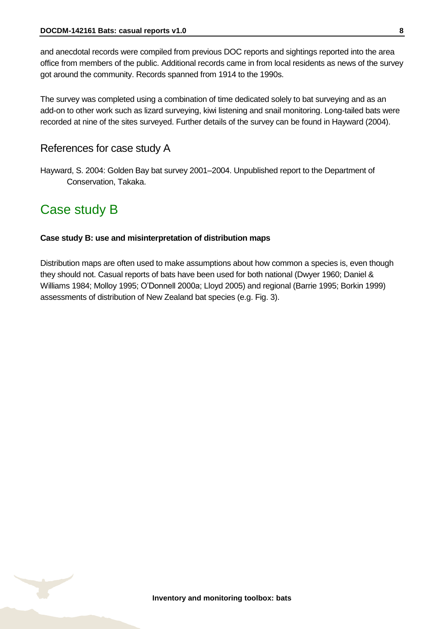and anecdotal records were compiled from previous DOC reports and sightings reported into the area office from members of the public. Additional records came in from local residents as news of the survey got around the community. Records spanned from 1914 to the 1990s.

The survey was completed using a combination of time dedicated solely to bat surveying and as an add-on to other work such as lizard surveying, kiwi listening and snail monitoring. Long-tailed bats were recorded at nine of the sites surveyed. Further details of the survey can be found in Hayward (2004).

#### References for case study A

Hayward, S. 2004: Golden Bay bat survey 2001–2004. Unpublished report to the Department of Conservation, Takaka.

### <span id="page-7-0"></span>Case study B

#### **Case study B: use and misinterpretation of distribution maps**

Distribution maps are often used to make assumptions about how common a species is, even though they should not. Casual reports of bats have been used for both national (Dwyer 1960; Daniel & Williams 1984; Molloy 1995; O'Donnell 2000a; Lloyd 2005) and regional (Barrie 1995; Borkin 1999) assessments of distribution of New Zealand bat species (e.g. Fig. 3).

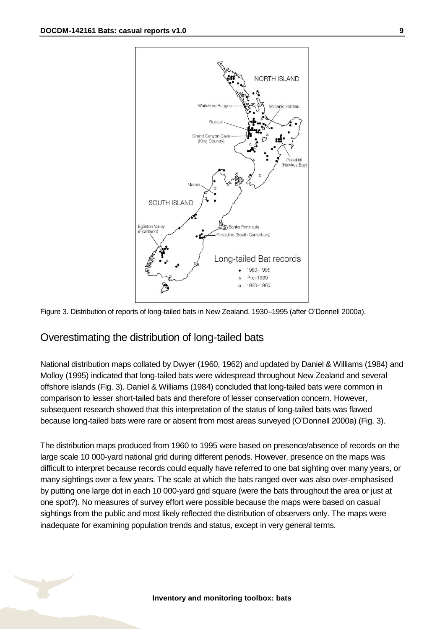



#### Overestimating the distribution of long-tailed bats

National distribution maps collated by Dwyer (1960, 1962) and updated by Daniel & Williams (1984) and Molloy (1995) indicated that long-tailed bats were widespread throughout New Zealand and several offshore islands (Fig. 3). Daniel & Williams (1984) concluded that long-tailed bats were common in comparison to lesser short-tailed bats and therefore of lesser conservation concern. However, subsequent research showed that this interpretation of the status of long-tailed bats was flawed because long-tailed bats were rare or absent from most areas surveyed (O'Donnell 2000a) (Fig. 3).

The distribution maps produced from 1960 to 1995 were based on presence/absence of records on the large scale 10 000-yard national grid during different periods. However, presence on the maps was difficult to interpret because records could equally have referred to one bat sighting over many years, or many sightings over a few years. The scale at which the bats ranged over was also over-emphasised by putting one large dot in each 10 000-yard grid square (were the bats throughout the area or just at one spot?). No measures of survey effort were possible because the maps were based on casual sightings from the public and most likely reflected the distribution of observers only. The maps were inadequate for examining population trends and status, except in very general terms.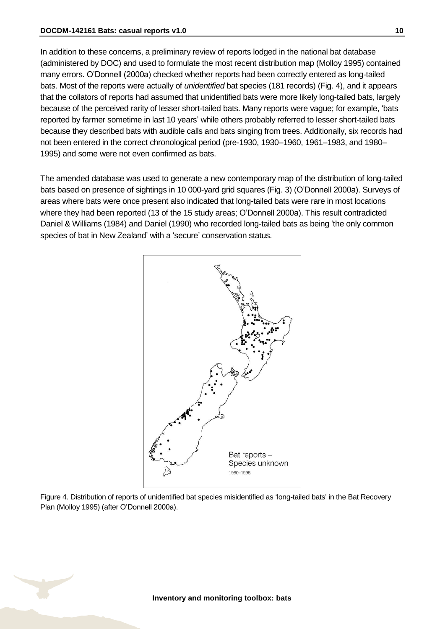In addition to these concerns, a preliminary review of reports lodged in the national bat database (administered by DOC) and used to formulate the most recent distribution map (Molloy 1995) contained many errors. O'Donnell (2000a) checked whether reports had been correctly entered as long-tailed bats. Most of the reports were actually of *unidentified* bat species (181 records) (Fig. 4), and it appears that the collators of reports had assumed that unidentified bats were more likely long-tailed bats, largely because of the perceived rarity of lesser short-tailed bats. Many reports were vague; for example, 'bats reported by farmer sometime in last 10 years' while others probably referred to lesser short-tailed bats because they described bats with audible calls and bats singing from trees. Additionally, six records had not been entered in the correct chronological period (pre-1930, 1930–1960, 1961–1983, and 1980– 1995) and some were not even confirmed as bats.

The amended database was used to generate a new contemporary map of the distribution of long-tailed bats based on presence of sightings in 10 000-yard grid squares (Fig. 3) (O'Donnell 2000a). Surveys of areas where bats were once present also indicated that long-tailed bats were rare in most locations where they had been reported (13 of the 15 study areas; O'Donnell 2000a). This result contradicted Daniel & Williams (1984) and Daniel (1990) who recorded long-tailed bats as being 'the only common species of bat in New Zealand' with a 'secure' conservation status.



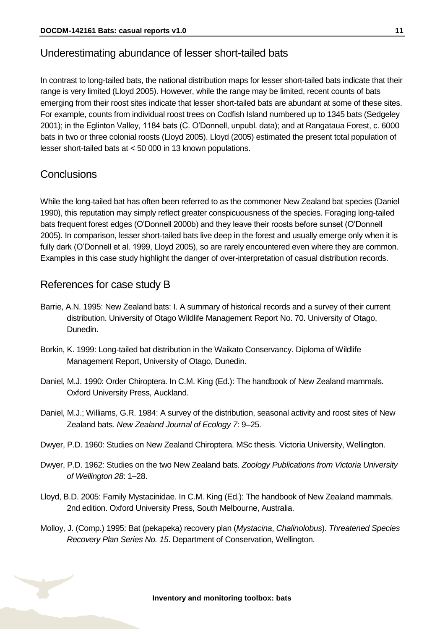#### Underestimating abundance of lesser short-tailed bats

In contrast to long-tailed bats, the national distribution maps for lesser short-tailed bats indicate that their range is very limited (Lloyd 2005). However, while the range may be limited, recent counts of bats emerging from their roost sites indicate that lesser short-tailed bats are abundant at some of these sites. For example, counts from individual roost trees on Codfish Island numbered up to 1345 bats (Sedgeley 2001); in the Eglinton Valley, 1184 bats (C. O'Donnell, unpubl. data); and at Rangataua Forest, c. 6000 bats in two or three colonial roosts (Lloyd 2005). Lloyd (2005) estimated the present total population of lesser short-tailed bats at < 50 000 in 13 known populations.

#### **Conclusions**

While the long-tailed bat has often been referred to as the commoner New Zealand bat species (Daniel 1990), this reputation may simply reflect greater conspicuousness of the species. Foraging long-tailed bats frequent forest edges (O'Donnell 2000b) and they leave their roosts before sunset (O'Donnell 2005). In comparison, lesser short-tailed bats live deep in the forest and usually emerge only when it is fully dark (O'Donnell et al. 1999, Lloyd 2005), so are rarely encountered even where they are common. Examples in this case study highlight the danger of over-interpretation of casual distribution records.

#### References for case study B

- Barrie, A.N. 1995: New Zealand bats: I. A summary of historical records and a survey of their current distribution. University of Otago Wildlife Management Report No. 70. University of Otago, Dunedin.
- Borkin, K. 1999: Long-tailed bat distribution in the Waikato Conservancy. Diploma of Wildlife Management Report, University of Otago, Dunedin.
- Daniel, M.J. 1990: Order Chiroptera. In C.M. King (Ed.): The handbook of New Zealand mammals. Oxford University Press, Auckland.
- Daniel, M.J.; Williams, G.R. 1984: A survey of the distribution, seasonal activity and roost sites of New Zealand bats. *New Zealand Journal of Ecology 7*: 9–25.
- Dwyer, P.D. 1960: Studies on New Zealand Chiroptera. MSc thesis. Victoria University, Wellington.
- Dwyer, P.D. 1962: Studies on the two New Zealand bats. *Zoology Publications from Victoria University of Wellington 28*: 1–28.
- Lloyd, B.D. 2005: Family Mystacinidae. In C.M. King (Ed.): The handbook of New Zealand mammals. 2nd edition. Oxford University Press, South Melbourne, Australia.
- Molloy, J. (Comp.) 1995: Bat (pekapeka) recovery plan (*Mystacina*, *Chalinolobus*). *Threatened Species Recovery Plan Series No. 15*. Department of Conservation, Wellington.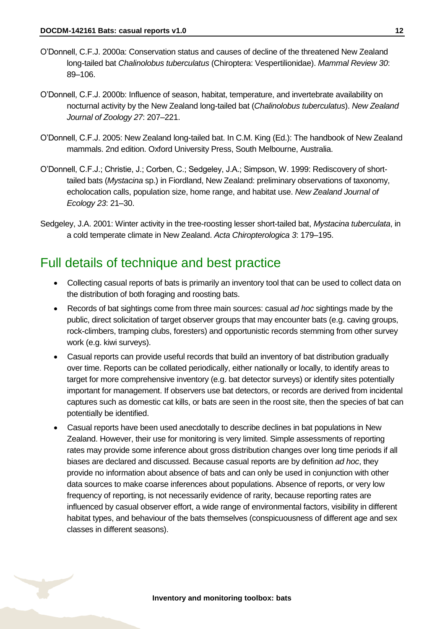- O'Donnell, C.F.J. 2000a: Conservation status and causes of decline of the threatened New Zealand long-tailed bat *Chalinolobus tuberculatus* (Chiroptera: Vespertilionidae). *Mammal Review 30*: 89–106.
- O'Donnell, C.F.J. 2000b: Influence of season, habitat, temperature, and invertebrate availability on nocturnal activity by the New Zealand long-tailed bat (*Chalinolobus tuberculatus*). *New Zealand Journal of Zoology 27*: 207–221.
- O'Donnell, C.F.J. 2005: New Zealand long-tailed bat. In C.M. King (Ed.): The handbook of New Zealand mammals. 2nd edition. Oxford University Press, South Melbourne, Australia.
- O'Donnell, C.F.J.; Christie, J.; Corben, C.; Sedgeley, J.A.; Simpson, W. 1999: Rediscovery of shorttailed bats (*Mystacina* sp.) in Fiordland, New Zealand: preliminary observations of taxonomy, echolocation calls, population size, home range, and habitat use. *New Zealand Journal of Ecology 23*: 21–30.
- Sedgeley, J.A. 2001: Winter activity in the tree-roosting lesser short-tailed bat, *Mystacina tuberculata*, in a cold temperate climate in New Zealand. *Acta Chiropterologica 3*: 179–195.

### <span id="page-11-0"></span>Full details of technique and best practice

- Collecting casual reports of bats is primarily an inventory tool that can be used to collect data on the distribution of both foraging and roosting bats.
- Records of bat sightings come from three main sources: casual *ad hoc* sightings made by the public, direct solicitation of target observer groups that may encounter bats (e.g. caving groups, rock-climbers, tramping clubs, foresters) and opportunistic records stemming from other survey work (e.g. kiwi surveys).
- Casual reports can provide useful records that build an inventory of bat distribution gradually over time. Reports can be collated periodically, either nationally or locally, to identify areas to target for more comprehensive inventory (e.g. bat detector surveys) or identify sites potentially important for management. If observers use bat detectors, or records are derived from incidental captures such as domestic cat kills, or bats are seen in the roost site, then the species of bat can potentially be identified.
- Casual reports have been used anecdotally to describe declines in bat populations in New Zealand. However, their use for monitoring is very limited. Simple assessments of reporting rates may provide some inference about gross distribution changes over long time periods if all biases are declared and discussed. Because casual reports are by definition *ad hoc*, they provide no information about absence of bats and can only be used in conjunction with other data sources to make coarse inferences about populations. Absence of reports, or very low frequency of reporting, is not necessarily evidence of rarity, because reporting rates are influenced by casual observer effort, a wide range of environmental factors, visibility in different habitat types, and behaviour of the bats themselves (conspicuousness of different age and sex classes in different seasons).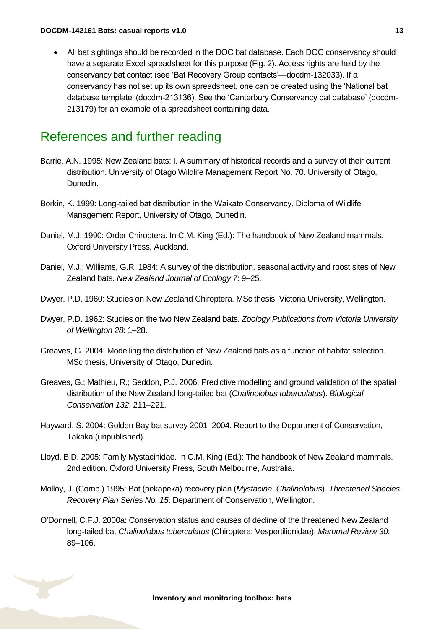All bat sightings should be recorded in the DOC bat database. Each DOC conservancy should have a separate Excel spreadsheet for this purpose (Fig. 2). Access rights are held by the conservancy bat contact (see 'Bat Recovery Group contacts'—docdm-132033). If a conservancy has not set up its own spreadsheet, one can be created using the 'National bat database template' (docdm-213136). See the 'Canterbury Conservancy bat database' (docdm-213179) for an example of a spreadsheet containing data.

### <span id="page-12-0"></span>References and further reading

- Barrie, A.N. 1995: New Zealand bats: I. A summary of historical records and a survey of their current distribution. University of Otago Wildlife Management Report No. 70. University of Otago, Dunedin.
- Borkin, K. 1999: Long-tailed bat distribution in the Waikato Conservancy. Diploma of Wildlife Management Report, University of Otago, Dunedin.
- Daniel, M.J. 1990: Order Chiroptera. In C.M. King (Ed.): The handbook of New Zealand mammals. Oxford University Press, Auckland.
- Daniel, M.J.; Williams, G.R. 1984: A survey of the distribution, seasonal activity and roost sites of New Zealand bats. *New Zealand Journal of Ecology 7*: 9–25.
- Dwyer, P.D. 1960: Studies on New Zealand Chiroptera. MSc thesis. Victoria University, Wellington.
- Dwyer, P.D. 1962: Studies on the two New Zealand bats. *Zoology Publications from Victoria University of Wellington 28*: 1–28.
- Greaves, G. 2004: Modelling the distribution of New Zealand bats as a function of habitat selection. MSc thesis, University of Otago, Dunedin.
- Greaves, G.; Mathieu, R.; Seddon, P.J. 2006: Predictive modelling and ground validation of the spatial distribution of the New Zealand long-tailed bat (*Chalinolobus tuberculatu*s). *Biological Conservation 132*: 211–221.
- Hayward, S. 2004: Golden Bay bat survey 2001–2004. Report to the Department of Conservation, Takaka (unpublished).
- Lloyd, B.D. 2005: Family Mystacinidae. In C.M. King (Ed.): The handbook of New Zealand mammals. 2nd edition. Oxford University Press, South Melbourne, Australia.
- Molloy, J. (Comp.) 1995: Bat (pekapeka) recovery plan (*Mystacina*, *Chalinolobus*). *Threatened Species Recovery Plan Series No. 15*. Department of Conservation, Wellington.
- O'Donnell, C.F.J. 2000a: Conservation status and causes of decline of the threatened New Zealand long-tailed bat *Chalinolobus tuberculatus* (Chiroptera: Vespertilionidae). *Mammal Review 30*: 89–106.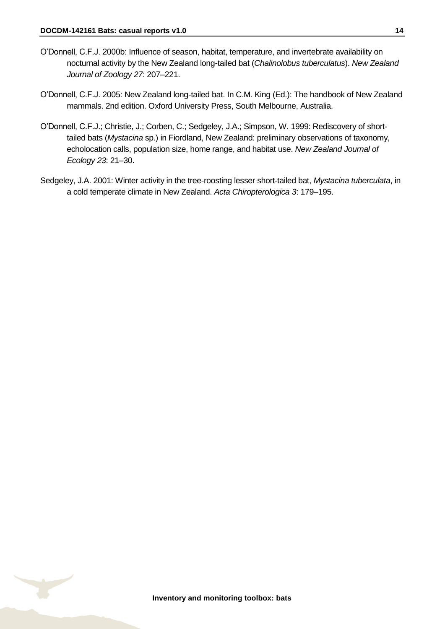- O'Donnell, C.F.J. 2000b: Influence of season, habitat, temperature, and invertebrate availability on nocturnal activity by the New Zealand long-tailed bat (*Chalinolobus tuberculatus*). *New Zealand Journal of Zoology 27*: 207–221.
- O'Donnell, C.F.J. 2005: New Zealand long-tailed bat. In C.M. King (Ed.): The handbook of New Zealand mammals. 2nd edition. Oxford University Press, South Melbourne, Australia.
- O'Donnell, C.F.J.; Christie, J.; Corben, C.; Sedgeley, J.A.; Simpson, W. 1999: Rediscovery of shorttailed bats (*Mystacina* sp.) in Fiordland, New Zealand: preliminary observations of taxonomy, echolocation calls, population size, home range, and habitat use. *New Zealand Journal of Ecology 23*: 21–30.
- Sedgeley, J.A. 2001: Winter activity in the tree-roosting lesser short-tailed bat, *Mystacina tuberculata*, in a cold temperate climate in New Zealand. *Acta Chiropterologica 3*: 179–195.